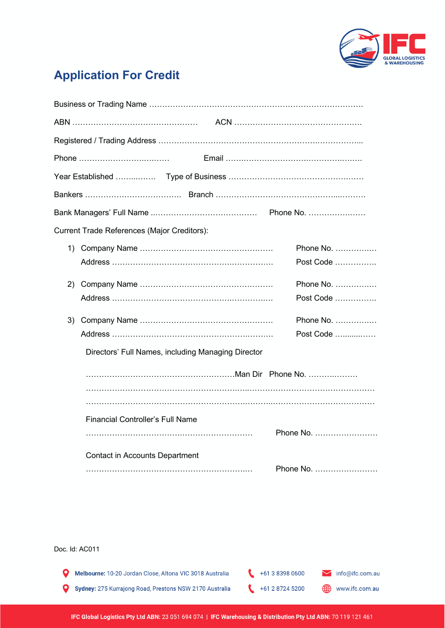

## **Application For Credit**

|                                                    | <b>Current Trade References (Major Creditors):</b> |           |  |
|----------------------------------------------------|----------------------------------------------------|-----------|--|
|                                                    |                                                    | Phone No. |  |
|                                                    |                                                    | Post Code |  |
| 2)                                                 |                                                    | Phone No. |  |
|                                                    |                                                    | Post Code |  |
| 3)                                                 |                                                    | Phone No. |  |
|                                                    |                                                    | Post Code |  |
| Directors' Full Names, including Managing Director |                                                    |           |  |
|                                                    |                                                    |           |  |
|                                                    |                                                    |           |  |
|                                                    |                                                    |           |  |
|                                                    | <b>Financial Controller's Full Name</b>            | Phone No. |  |
|                                                    |                                                    |           |  |
|                                                    | <b>Contact in Accounts Department</b>              | Phone No. |  |
|                                                    |                                                    |           |  |

Doc. Id: AC011

 $+61383980600$ Melbourne: 10-20 Jordan Close, Altona VIC 3018 Australia  $\mathbf Q$ info@ifc.com.au  $+61287245200$ www.ifc.com.au Sydney: 275 Kurrajong Road, Prestons NSW 2170 Australia